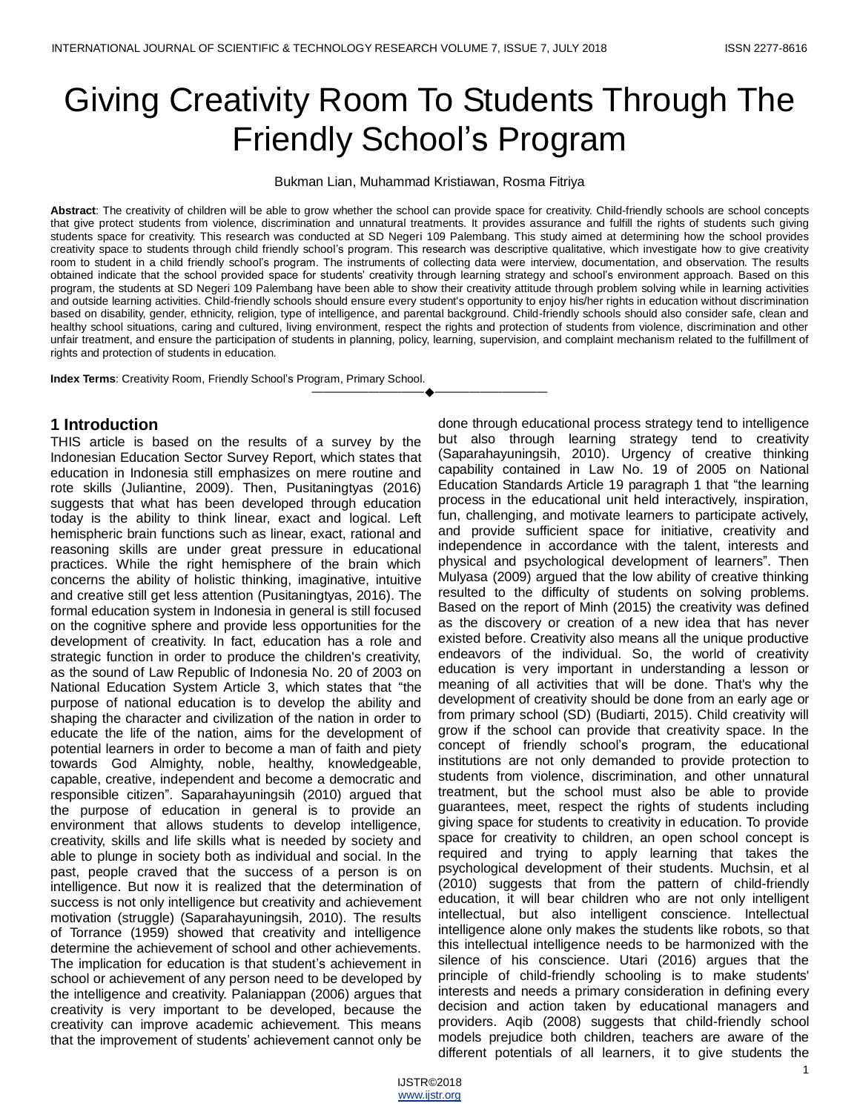# Giving Creativity Room To Students Through The Friendly School's Program

Bukman Lian, Muhammad Kristiawan, Rosma Fitriya

**Abstract**: The creativity of children will be able to grow whether the school can provide space for creativity. Child-friendly schools are school concepts that give protect students from violence, discrimination and unnatural treatments. It provides assurance and fulfill the rights of students such giving students space for creativity. This research was conducted at SD Negeri 109 Palembang. This study aimed at determining how the school provides creativity space to students through child friendly school's program. This research was descriptive qualitative, which investigate how to give creativity room to student in a child friendly school's program. The instruments of collecting data were interview, documentation, and observation. The results obtained indicate that the school provided space for students' creativity through learning strategy and school's environment approach. Based on this program, the students at SD Negeri 109 Palembang have been able to show their creativity attitude through problem solving while in learning activities and outside learning activities. Child-friendly schools should ensure every student's opportunity to enjoy his/her rights in education without discrimination based on disability, gender, ethnicity, religion, type of intelligence, and parental background. Child-friendly schools should also consider safe, clean and healthy school situations, caring and cultured, living environment, respect the rights and protection of students from violence, discrimination and other unfair treatment, and ensure the participation of students in planning, policy, learning, supervision, and complaint mechanism related to the fulfillment of rights and protection of students in education.

————————————————————

**Index Terms**: Creativity Room, Friendly School's Program, Primary School.

#### **1 Introduction**

THIS article is based on the results of a survey by the Indonesian Education Sector Survey Report, which states that education in Indonesia still emphasizes on mere routine and rote skills (Juliantine, 2009). Then, Pusitaningtyas (2016) suggests that what has been developed through education today is the ability to think linear, exact and logical. Left hemispheric brain functions such as linear, exact, rational and reasoning skills are under great pressure in educational practices. While the right hemisphere of the brain which concerns the ability of holistic thinking, imaginative, intuitive and creative still get less attention (Pusitaningtyas, 2016). The formal education system in Indonesia in general is still focused on the cognitive sphere and provide less opportunities for the development of creativity. In fact, education has a role and strategic function in order to produce the children's creativity, as the sound of Law Republic of Indonesia No. 20 of 2003 on National Education System Article 3, which states that "the purpose of national education is to develop the ability and shaping the character and civilization of the nation in order to educate the life of the nation, aims for the development of potential learners in order to become a man of faith and piety towards God Almighty, noble, healthy, knowledgeable, capable, creative, independent and become a democratic and responsible citizen". Saparahayuningsih (2010) argued that the purpose of education in general is to provide an environment that allows students to develop intelligence, creativity, skills and life skills what is needed by society and able to plunge in society both as individual and social. In the past, people craved that the success of a person is on intelligence. But now it is realized that the determination of success is not only intelligence but creativity and achievement motivation (struggle) (Saparahayuningsih, 2010). The results of Torrance (1959) showed that creativity and intelligence determine the achievement of school and other achievements. The implication for education is that student's achievement in school or achievement of any person need to be developed by the intelligence and creativity. Palaniappan (2006) argues that creativity is very important to be developed, because the creativity can improve academic achievement. This means that the improvement of students' achievement cannot only be

done through educational process strategy tend to intelligence but also through learning strategy tend to creativity (Saparahayuningsih, 2010). Urgency of creative thinking capability contained in Law No. 19 of 2005 on National Education Standards Article 19 paragraph 1 that "the learning process in the educational unit held interactively, inspiration, fun, challenging, and motivate learners to participate actively, and provide sufficient space for initiative, creativity and independence in accordance with the talent, interests and physical and psychological development of learners". Then Mulyasa (2009) argued that the low ability of creative thinking resulted to the difficulty of students on solving problems. Based on the report of Minh (2015) the creativity was defined as the discovery or creation of a new idea that has never existed before. Creativity also means all the unique productive endeavors of the individual. So, the world of creativity education is very important in understanding a lesson or meaning of all activities that will be done. That's why the development of creativity should be done from an early age or from primary school (SD) (Budiarti, 2015). Child creativity will grow if the school can provide that creativity space. In the concept of friendly school's program, the educational institutions are not only demanded to provide protection to students from violence, discrimination, and other unnatural treatment, but the school must also be able to provide guarantees, meet, respect the rights of students including giving space for students to creativity in education. To provide space for creativity to children, an open school concept is required and trying to apply learning that takes the psychological development of their students. Muchsin, et al (2010) suggests that from the pattern of child-friendly education, it will bear children who are not only intelligent intellectual, but also intelligent conscience. Intellectual intelligence alone only makes the students like robots, so that this intellectual intelligence needs to be harmonized with the silence of his conscience. Utari (2016) argues that the principle of child-friendly schooling is to make students' interests and needs a primary consideration in defining every decision and action taken by educational managers and providers. Aqib (2008) suggests that child-friendly school models prejudice both children, teachers are aware of the different potentials of all learners, it to give students the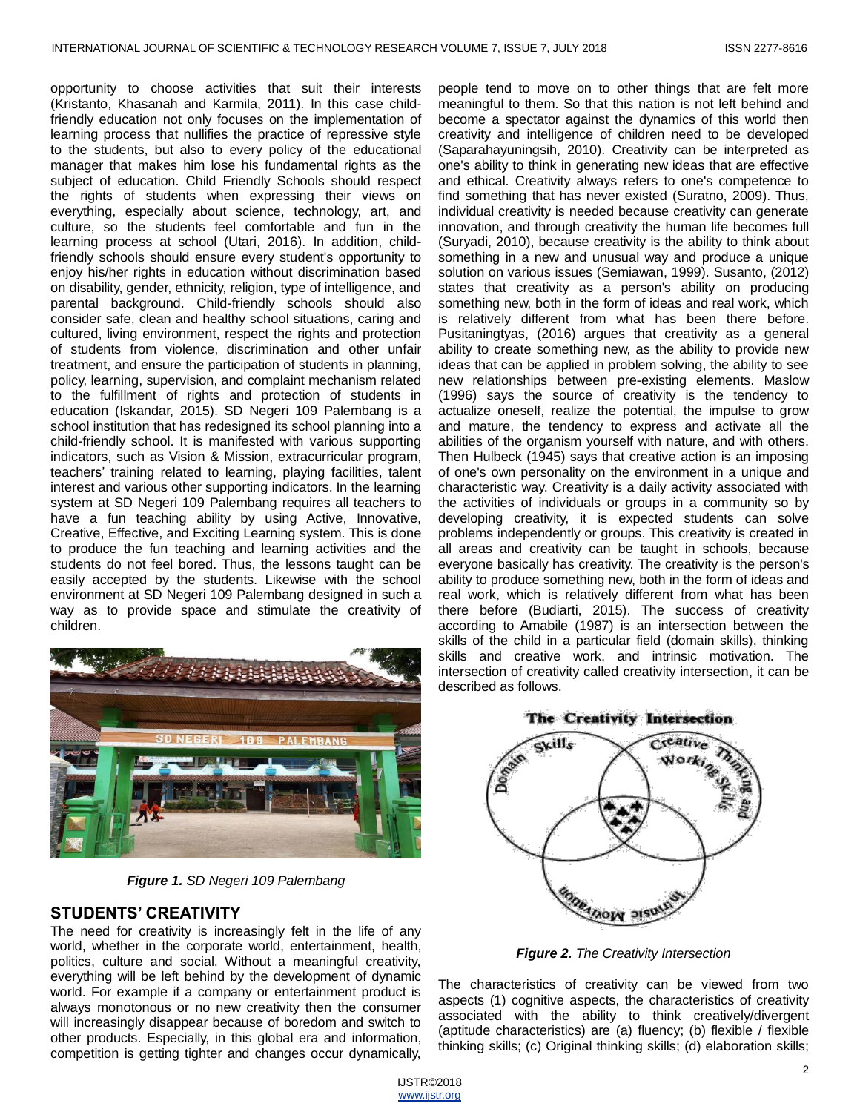opportunity to choose activities that suit their interests (Kristanto, Khasanah and Karmila, 2011). In this case childfriendly education not only focuses on the implementation of learning process that nullifies the practice of repressive style to the students, but also to every policy of the educational manager that makes him lose his fundamental rights as the subject of education. Child Friendly Schools should respect the rights of students when expressing their views on everything, especially about science, technology, art, and culture, so the students feel comfortable and fun in the learning process at school (Utari, 2016). In addition, childfriendly schools should ensure every student's opportunity to enjoy his/her rights in education without discrimination based on disability, gender, ethnicity, religion, type of intelligence, and parental background. Child-friendly schools should also consider safe, clean and healthy school situations, caring and cultured, living environment, respect the rights and protection of students from violence, discrimination and other unfair treatment, and ensure the participation of students in planning, policy, learning, supervision, and complaint mechanism related to the fulfillment of rights and protection of students in education (Iskandar, 2015). SD Negeri 109 Palembang is a school institution that has redesigned its school planning into a child-friendly school. It is manifested with various supporting indicators, such as Vision & Mission, extracurricular program, teachers' training related to learning, playing facilities, talent interest and various other supporting indicators. In the learning system at SD Negeri 109 Palembang requires all teachers to have a fun teaching ability by using Active, Innovative, Creative, Effective, and Exciting Learning system. This is done to produce the fun teaching and learning activities and the students do not feel bored. Thus, the lessons taught can be easily accepted by the students. Likewise with the school environment at SD Negeri 109 Palembang designed in such a way as to provide space and stimulate the creativity of children.



*Figure 1. SD Negeri 109 Palembang*

#### **STUDENTS' CREATIVITY**

The need for creativity is increasingly felt in the life of any world, whether in the corporate world, entertainment, health, politics, culture and social. Without a meaningful creativity, everything will be left behind by the development of dynamic world. For example if a company or entertainment product is always monotonous or no new creativity then the consumer will increasingly disappear because of boredom and switch to other products. Especially, in this global era and information, competition is getting tighter and changes occur dynamically,

people tend to move on to other things that are felt more meaningful to them. So that this nation is not left behind and become a spectator against the dynamics of this world then creativity and intelligence of children need to be developed (Saparahayuningsih, 2010). Creativity can be interpreted as one's ability to think in generating new ideas that are effective and ethical. Creativity always refers to one's competence to find something that has never existed (Suratno, 2009). Thus, individual creativity is needed because creativity can generate innovation, and through creativity the human life becomes full (Suryadi, 2010), because creativity is the ability to think about something in a new and unusual way and produce a unique solution on various issues (Semiawan, 1999). Susanto, (2012) states that creativity as a person's ability on producing something new, both in the form of ideas and real work, which is relatively different from what has been there before. Pusitaningtyas, (2016) argues that creativity as a general ability to create something new, as the ability to provide new ideas that can be applied in problem solving, the ability to see new relationships between pre-existing elements. Maslow (1996) says the source of creativity is the tendency to actualize oneself, realize the potential, the impulse to grow and mature, the tendency to express and activate all the abilities of the organism yourself with nature, and with others. Then Hulbeck (1945) says that creative action is an imposing of one's own personality on the environment in a unique and characteristic way. Creativity is a daily activity associated with the activities of individuals or groups in a community so by developing creativity, it is expected students can solve problems independently or groups. This creativity is created in all areas and creativity can be taught in schools, because everyone basically has creativity. The creativity is the person's ability to produce something new, both in the form of ideas and real work, which is relatively different from what has been there before (Budiarti, 2015). The success of creativity according to Amabile (1987) is an intersection between the skills of the child in a particular field (domain skills), thinking skills and creative work, and intrinsic motivation. The intersection of creativity called creativity intersection, it can be described as follows.





*Figure 2. The Creativity Intersection*

The characteristics of creativity can be viewed from two aspects (1) cognitive aspects, the characteristics of creativity associated with the ability to think creatively/divergent (aptitude characteristics) are (a) fluency; (b) flexible / flexible thinking skills; (c) Original thinking skills; (d) elaboration skills;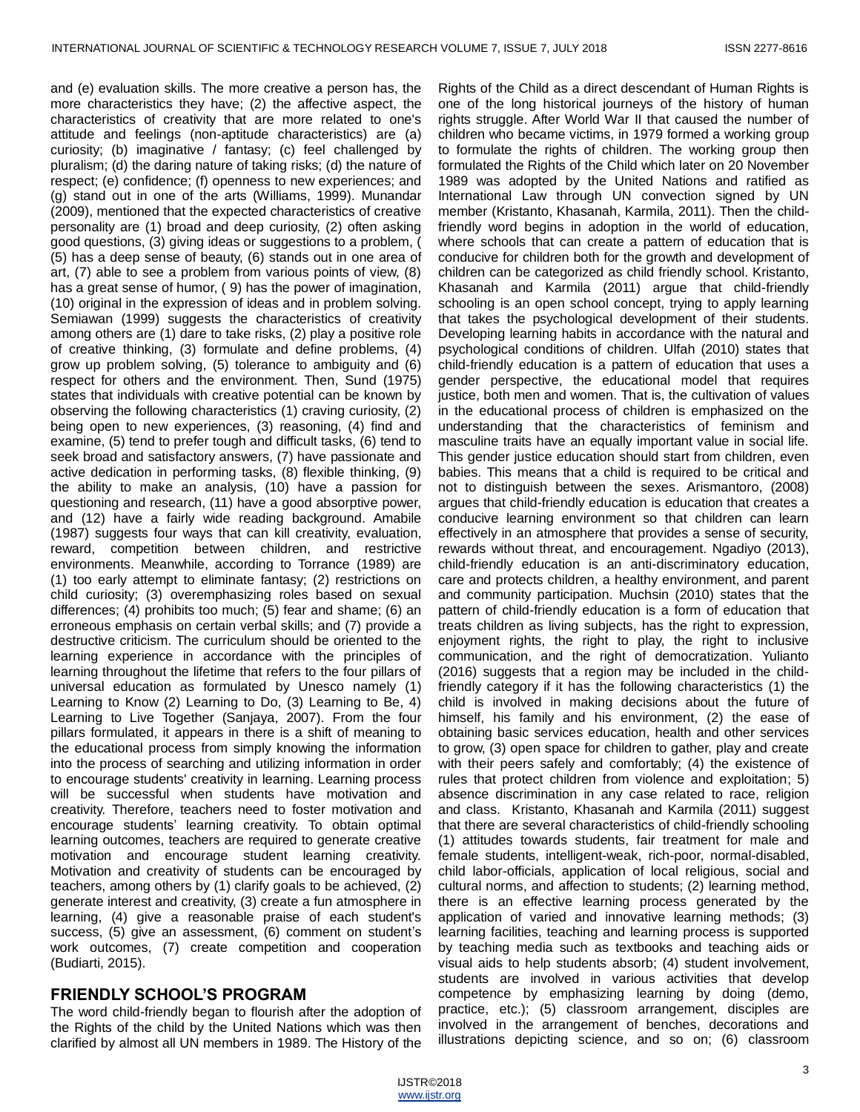and (e) evaluation skills. The more creative a person has, the more characteristics they have; (2) the affective aspect, the characteristics of creativity that are more related to one's attitude and feelings (non-aptitude characteristics) are (a) curiosity; (b) imaginative / fantasy; (c) feel challenged by pluralism; (d) the daring nature of taking risks; (d) the nature of respect; (e) confidence; (f) openness to new experiences; and (g) stand out in one of the arts (Williams, 1999). Munandar (2009), mentioned that the expected characteristics of creative personality are (1) broad and deep curiosity, (2) often asking good questions, (3) giving ideas or suggestions to a problem, ( (5) has a deep sense of beauty, (6) stands out in one area of art, (7) able to see a problem from various points of view, (8) has a great sense of humor, ( 9) has the power of imagination, (10) original in the expression of ideas and in problem solving. Semiawan (1999) suggests the characteristics of creativity among others are (1) dare to take risks, (2) play a positive role of creative thinking, (3) formulate and define problems, (4) grow up problem solving, (5) tolerance to ambiguity and (6) respect for others and the environment. Then, Sund (1975) states that individuals with creative potential can be known by observing the following characteristics (1) craving curiosity, (2) being open to new experiences, (3) reasoning, (4) find and examine, (5) tend to prefer tough and difficult tasks, (6) tend to seek broad and satisfactory answers, (7) have passionate and active dedication in performing tasks, (8) flexible thinking, (9) the ability to make an analysis, (10) have a passion for questioning and research, (11) have a good absorptive power, and (12) have a fairly wide reading background. Amabile (1987) suggests four ways that can kill creativity, evaluation, reward, competition between children, and restrictive environments. Meanwhile, according to Torrance (1989) are (1) too early attempt to eliminate fantasy; (2) restrictions on child curiosity; (3) overemphasizing roles based on sexual differences; (4) prohibits too much; (5) fear and shame; (6) an erroneous emphasis on certain verbal skills; and (7) provide a destructive criticism. The curriculum should be oriented to the learning experience in accordance with the principles of learning throughout the lifetime that refers to the four pillars of universal education as formulated by Unesco namely (1) Learning to Know (2) Learning to Do, (3) Learning to Be, 4) Learning to Live Together (Sanjaya, 2007). From the four pillars formulated, it appears in there is a shift of meaning to the educational process from simply knowing the information into the process of searching and utilizing information in order to encourage students' creativity in learning. Learning process will be successful when students have motivation and creativity. Therefore, teachers need to foster motivation and encourage students' learning creativity. To obtain optimal learning outcomes, teachers are required to generate creative motivation and encourage student learning creativity. Motivation and creativity of students can be encouraged by teachers, among others by (1) clarify goals to be achieved, (2) generate interest and creativity, (3) create a fun atmosphere in learning, (4) give a reasonable praise of each student's success, (5) give an assessment, (6) comment on student's work outcomes, (7) create competition and cooperation (Budiarti, 2015).

# **FRIENDLY SCHOOL'S PROGRAM**

The word child-friendly began to flourish after the adoption of the Rights of the child by the United Nations which was then clarified by almost all UN members in 1989. The History of the

Rights of the Child as a direct descendant of Human Rights is one of the long historical journeys of the history of human rights struggle. After World War II that caused the number of children who became victims, in 1979 formed a working group to formulate the rights of children. The working group then formulated the Rights of the Child which later on 20 November 1989 was adopted by the United Nations and ratified as International Law through UN convection signed by UN member (Kristanto, Khasanah, Karmila, 2011). Then the childfriendly word begins in adoption in the world of education, where schools that can create a pattern of education that is conducive for children both for the growth and development of children can be categorized as child friendly school. Kristanto, Khasanah and Karmila (2011) argue that child-friendly schooling is an open school concept, trying to apply learning that takes the psychological development of their students. Developing learning habits in accordance with the natural and psychological conditions of children. Ulfah (2010) states that child-friendly education is a pattern of education that uses a gender perspective, the educational model that requires justice, both men and women. That is, the cultivation of values in the educational process of children is emphasized on the understanding that the characteristics of feminism and masculine traits have an equally important value in social life. This gender justice education should start from children, even babies. This means that a child is required to be critical and not to distinguish between the sexes. Arismantoro, (2008) argues that child-friendly education is education that creates a conducive learning environment so that children can learn effectively in an atmosphere that provides a sense of security, rewards without threat, and encouragement. Ngadiyo (2013), child-friendly education is an anti-discriminatory education, care and protects children, a healthy environment, and parent and community participation. Muchsin (2010) states that the pattern of child-friendly education is a form of education that treats children as living subjects, has the right to expression, enjoyment rights, the right to play, the right to inclusive communication, and the right of democratization. Yulianto (2016) suggests that a region may be included in the childfriendly category if it has the following characteristics (1) the child is involved in making decisions about the future of himself, his family and his environment, (2) the ease of obtaining basic services education, health and other services to grow, (3) open space for children to gather, play and create with their peers safely and comfortably; (4) the existence of rules that protect children from violence and exploitation; 5) absence discrimination in any case related to race, religion and class. Kristanto, Khasanah and Karmila (2011) suggest that there are several characteristics of child-friendly schooling (1) attitudes towards students, fair treatment for male and female students, intelligent-weak, rich-poor, normal-disabled, child labor-officials, application of local religious, social and cultural norms, and affection to students; (2) learning method, there is an effective learning process generated by the application of varied and innovative learning methods; (3) learning facilities, teaching and learning process is supported by teaching media such as textbooks and teaching aids or visual aids to help students absorb; (4) student involvement, students are involved in various activities that develop competence by emphasizing learning by doing (demo, practice, etc.); (5) classroom arrangement, disciples are involved in the arrangement of benches, decorations and illustrations depicting science, and so on; (6) classroom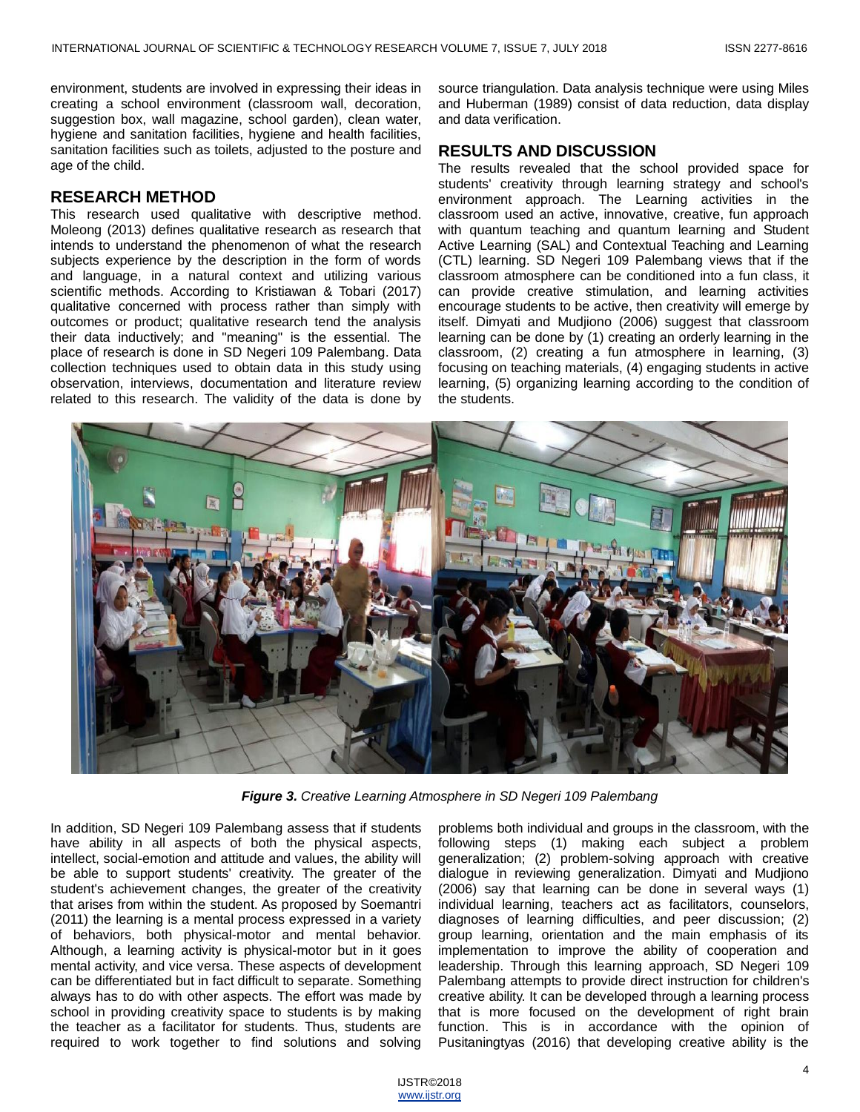environment, students are involved in expressing their ideas in creating a school environment (classroom wall, decoration, suggestion box, wall magazine, school garden), clean water, hygiene and sanitation facilities, hygiene and health facilities, sanitation facilities such as toilets, adjusted to the posture and age of the child.

#### **RESEARCH METHOD**

This research used qualitative with descriptive method. Moleong (2013) defines qualitative research as research that intends to understand the phenomenon of what the research subjects experience by the description in the form of words and language, in a natural context and utilizing various scientific methods. According to Kristiawan & Tobari (2017) qualitative concerned with process rather than simply with outcomes or product; qualitative research tend the analysis their data inductively; and "meaning" is the essential. The place of research is done in SD Negeri 109 Palembang. Data collection techniques used to obtain data in this study using observation, interviews, documentation and literature review related to this research. The validity of the data is done by source triangulation. Data analysis technique were using Miles and Huberman (1989) consist of data reduction, data display and data verification.

#### **RESULTS AND DISCUSSION**

The results revealed that the school provided space for students' creativity through learning strategy and school's environment approach. The Learning activities in the classroom used an active, innovative, creative, fun approach with quantum teaching and quantum learning and Student Active Learning (SAL) and Contextual Teaching and Learning (CTL) learning. SD Negeri 109 Palembang views that if the classroom atmosphere can be conditioned into a fun class, it can provide creative stimulation, and learning activities encourage students to be active, then creativity will emerge by itself. Dimyati and Mudjiono (2006) suggest that classroom learning can be done by (1) creating an orderly learning in the classroom, (2) creating a fun atmosphere in learning, (3) focusing on teaching materials, (4) engaging students in active learning, (5) organizing learning according to the condition of the students.



*Figure 3. Creative Learning Atmosphere in SD Negeri 109 Palembang*

In addition, SD Negeri 109 Palembang assess that if students have ability in all aspects of both the physical aspects, intellect, social-emotion and attitude and values, the ability will be able to support students' creativity. The greater of the student's achievement changes, the greater of the creativity that arises from within the student. As proposed by Soemantri (2011) the learning is a mental process expressed in a variety of behaviors, both physical-motor and mental behavior. Although, a learning activity is physical-motor but in it goes mental activity, and vice versa. These aspects of development can be differentiated but in fact difficult to separate. Something always has to do with other aspects. The effort was made by school in providing creativity space to students is by making the teacher as a facilitator for students. Thus, students are required to work together to find solutions and solving problems both individual and groups in the classroom, with the following steps (1) making each subject a problem generalization; (2) problem-solving approach with creative dialogue in reviewing generalization. Dimyati and Mudjiono (2006) say that learning can be done in several ways (1) individual learning, teachers act as facilitators, counselors, diagnoses of learning difficulties, and peer discussion; (2) group learning, orientation and the main emphasis of its implementation to improve the ability of cooperation and leadership. Through this learning approach, SD Negeri 109 Palembang attempts to provide direct instruction for children's creative ability. It can be developed through a learning process that is more focused on the development of right brain function. This is in accordance with the opinion of Pusitaningtyas (2016) that developing creative ability is the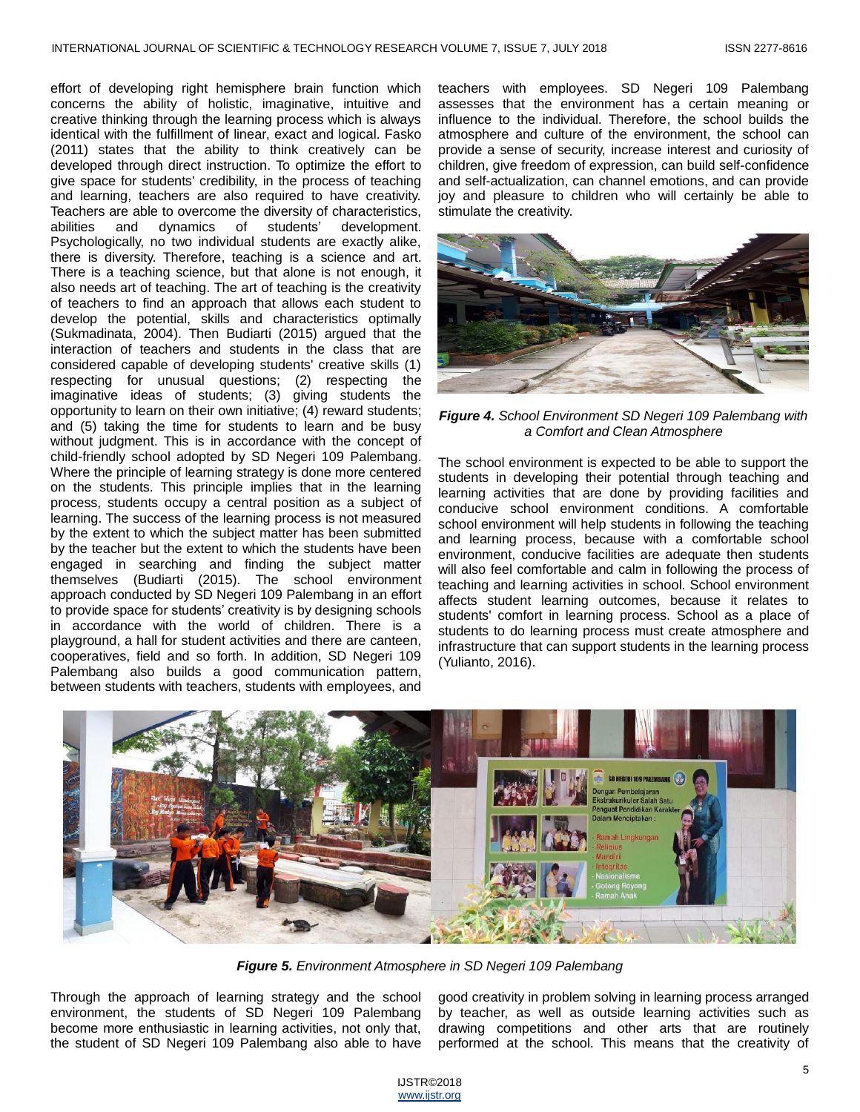effort of developing right hemisphere brain function which concerns the ability of holistic, imaginative, intuitive and creative thinking through the learning process which is always identical with the fulfillment of linear, exact and logical. Fasko (2011) states that the ability to think creatively can be developed through direct instruction. To optimize the effort to give space for students' credibility, in the process of teaching and learning, teachers are also required to have creativity. Teachers are able to overcome the diversity of characteristics, abilities and dynamics of students' development. Psychologically, no two individual students are exactly alike, there is diversity. Therefore, teaching is a science and art. There is a teaching science, but that alone is not enough, it also needs art of teaching. The art of teaching is the creativity of teachers to find an approach that allows each student to develop the potential, skills and characteristics optimally (Sukmadinata, 2004). Then Budiarti (2015) argued that the interaction of teachers and students in the class that are considered capable of developing students' creative skills (1) respecting for unusual questions; (2) respecting the imaginative ideas of students; (3) giving students the opportunity to learn on their own initiative; (4) reward students; and (5) taking the time for students to learn and be busy without judgment. This is in accordance with the concept of child-friendly school adopted by SD Negeri 109 Palembang. Where the principle of learning strategy is done more centered on the students. This principle implies that in the learning process, students occupy a central position as a subject of learning. The success of the learning process is not measured by the extent to which the subject matter has been submitted by the teacher but the extent to which the students have been engaged in searching and finding the subject matter themselves (Budiarti (2015). The school environment approach conducted by SD Negeri 109 Palembang in an effort to provide space for students' creativity is by designing schools in accordance with the world of children. There is a playground, a hall for student activities and there are canteen, cooperatives, field and so forth. In addition, SD Negeri 109 Palembang also builds a good communication pattern, between students with teachers, students with employees, and teachers with employees. SD Negeri 109 Palembang assesses that the environment has a certain meaning or influence to the individual. Therefore, the school builds the atmosphere and culture of the environment, the school can provide a sense of security, increase interest and curiosity of children, give freedom of expression, can build self-confidence and self-actualization, can channel emotions, and can provide joy and pleasure to children who will certainly be able to stimulate the creativity.



*Figure 4. School Environment SD Negeri 109 Palembang with a Comfort and Clean Atmosphere*

The school environment is expected to be able to support the students in developing their potential through teaching and learning activities that are done by providing facilities and conducive school environment conditions. A comfortable school environment will help students in following the teaching and learning process, because with a comfortable school environment, conducive facilities are adequate then students will also feel comfortable and calm in following the process of teaching and learning activities in school. School environment affects student learning outcomes, because it relates to students' comfort in learning process. School as a place of students to do learning process must create atmosphere and infrastructure that can support students in the learning process (Yulianto, 2016).



*Figure 5. Environment Atmosphere in SD Negeri 109 Palembang*

Through the approach of learning strategy and the school environment, the students of SD Negeri 109 Palembang become more enthusiastic in learning activities, not only that, the student of SD Negeri 109 Palembang also able to have good creativity in problem solving in learning process arranged by teacher, as well as outside learning activities such as drawing competitions and other arts that are routinely performed at the school. This means that the creativity of

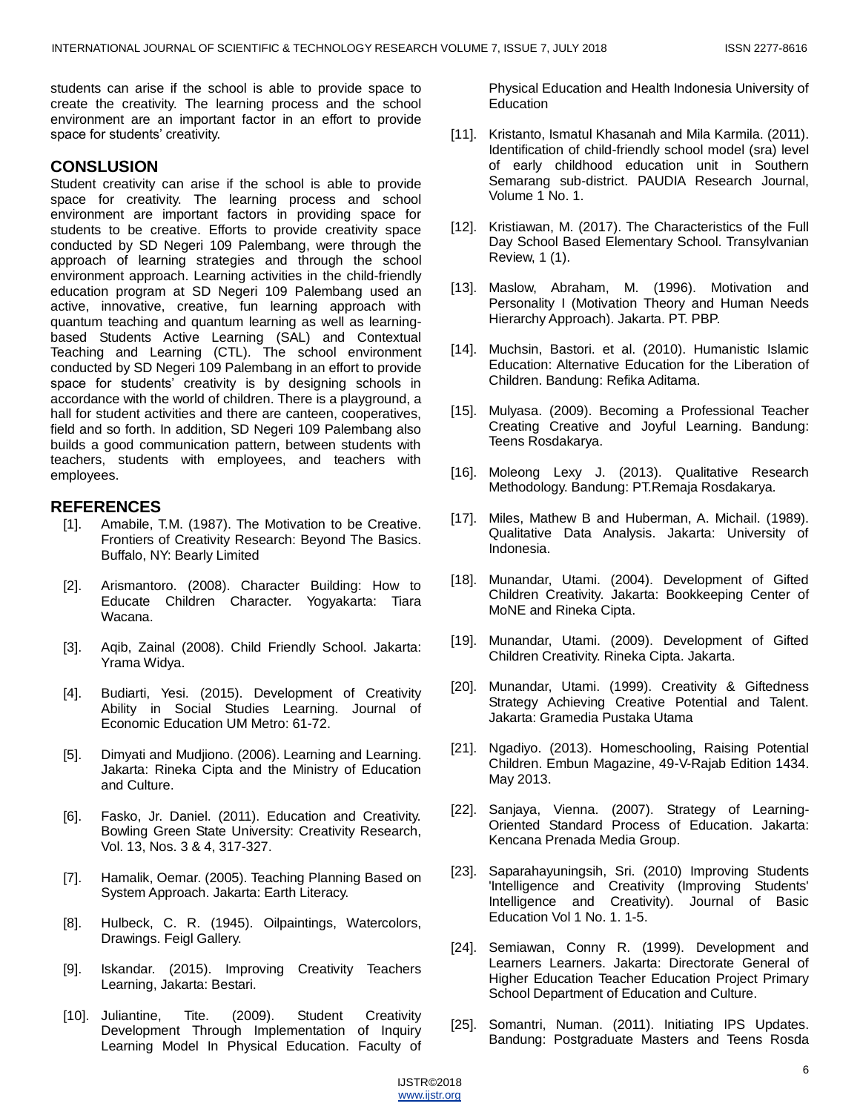students can arise if the school is able to provide space to create the creativity. The learning process and the school environment are an important factor in an effort to provide space for students' creativity.

## **CONSLUSION**

Student creativity can arise if the school is able to provide space for creativity. The learning process and school environment are important factors in providing space for students to be creative. Efforts to provide creativity space conducted by SD Negeri 109 Palembang, were through the approach of learning strategies and through the school environment approach. Learning activities in the child-friendly education program at SD Negeri 109 Palembang used an active, innovative, creative, fun learning approach with quantum teaching and quantum learning as well as learningbased Students Active Learning (SAL) and Contextual Teaching and Learning (CTL). The school environment conducted by SD Negeri 109 Palembang in an effort to provide space for students' creativity is by designing schools in accordance with the world of children. There is a playground, a hall for student activities and there are canteen, cooperatives, field and so forth. In addition, SD Negeri 109 Palembang also builds a good communication pattern, between students with teachers, students with employees, and teachers with employees.

## **REFERENCES**

- [1]. Amabile, T.M. (1987). The Motivation to be Creative. Frontiers of Creativity Research: Beyond The Basics. Buffalo, NY: Bearly Limited
- [2]. Arismantoro. (2008). Character Building: How to Educate Children Character. Yogyakarta: Tiara Wacana.
- [3]. Aqib, Zainal (2008). Child Friendly School. Jakarta: Yrama Widya.
- [4]. Budiarti, Yesi. (2015). Development of Creativity Ability in Social Studies Learning. Journal of Economic Education UM Metro: 61-72.
- [5]. Dimyati and Mudjiono. (2006). Learning and Learning. Jakarta: Rineka Cipta and the Ministry of Education and Culture.
- [6]. Fasko, Jr. Daniel. (2011). Education and Creativity. Bowling Green State University: Creativity Research, Vol. 13, Nos. 3 & 4, 317-327.
- [7]. Hamalik, Oemar. (2005). Teaching Planning Based on System Approach. Jakarta: Earth Literacy.
- [8]. Hulbeck, C. R. (1945). Oilpaintings, Watercolors, Drawings. Feigl Gallery.
- [9]. Iskandar. (2015). Improving Creativity Teachers Learning, Jakarta: Bestari.
- [10]. Juliantine, Tite. (2009). Student Creativity Development Through Implementation of Inquiry Learning Model In Physical Education. Faculty of

Physical Education and Health Indonesia University of **Education** 

- [11]. Kristanto, Ismatul Khasanah and Mila Karmila. (2011). Identification of child-friendly school model (sra) level of early childhood education unit in Southern Semarang sub-district. PAUDIA Research Journal, Volume 1 No. 1.
- [12]. Kristiawan, M. (2017). The Characteristics of the Full Day School Based Elementary School. Transylvanian Review, 1 (1).
- [13]. Maslow, Abraham, M. (1996). Motivation and Personality I (Motivation Theory and Human Needs Hierarchy Approach). Jakarta. PT. PBP.
- [14]. Muchsin, Bastori. et al. (2010). Humanistic Islamic Education: Alternative Education for the Liberation of Children. Bandung: Refika Aditama.
- [15]. Mulyasa. (2009). Becoming a Professional Teacher Creating Creative and Joyful Learning. Bandung: Teens Rosdakarya.
- [16]. Moleong Lexy J. (2013). Qualitative Research Methodology. Bandung: PT.Remaja Rosdakarya.
- [17]. Miles, Mathew B and Huberman, A. Michail. (1989). Qualitative Data Analysis. Jakarta: University of Indonesia.
- [18]. Munandar, Utami. (2004). Development of Gifted Children Creativity. Jakarta: Bookkeeping Center of MoNE and Rineka Cipta.
- [19]. Munandar, Utami. (2009). Development of Gifted Children Creativity. Rineka Cipta. Jakarta.
- [20]. Munandar, Utami. (1999). Creativity & Giftedness Strategy Achieving Creative Potential and Talent. Jakarta: Gramedia Pustaka Utama
- [21]. Ngadiyo. (2013). Homeschooling, Raising Potential Children. Embun Magazine, 49-V-Rajab Edition 1434. May 2013.
- [22]. Sanjaya, Vienna. (2007). Strategy of Learning-Oriented Standard Process of Education. Jakarta: Kencana Prenada Media Group.
- [23]. Saparahayuningsih, Sri. (2010) Improving Students 'Intelligence and Creativity (Improving Students' Intelligence and Creativity). Journal of Basic Education Vol 1 No. 1. 1-5.
- [24]. Semiawan, Conny R. (1999). Development and Learners Learners. Jakarta: Directorate General of Higher Education Teacher Education Project Primary School Department of Education and Culture.
- [25]. Somantri, Numan. (2011). Initiating IPS Updates. Bandung: Postgraduate Masters and Teens Rosda